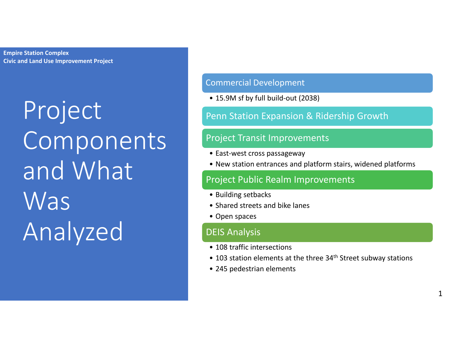> Project Components and What Was Analyzed

#### Commercial Development

• 15.9M sf by full build-out (2038)

#### Penn Station Expansion & Ridership Growth

#### Project Transit Improvements

- East-west cross passageway
- New station entrances and platform stairs, widened platforms

#### Project Public Realm Improvements

- Building setbacks
- Shared streets and bike lanes
- Open spaces

#### DEIS Analysis

- 108 traffic intersections
- 103 station elements at the three 34<sup>th</sup> Street subway stations
- 245 pedestrian elements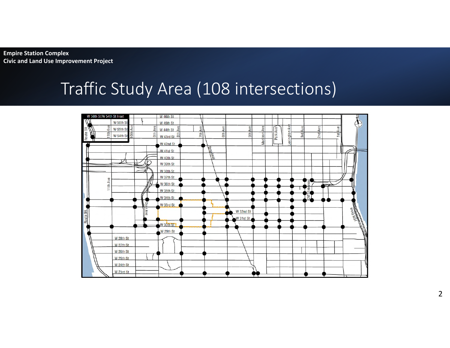### Traffic Study Area (108 intersections)



2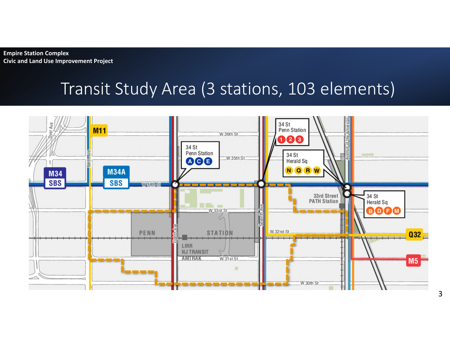#### Transit Study Area (3 stations, 103 elements)

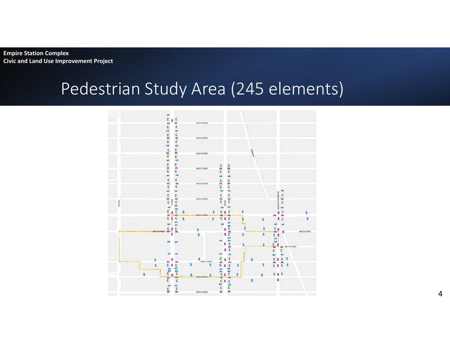#### Pedestrian Study Area (245 elements)

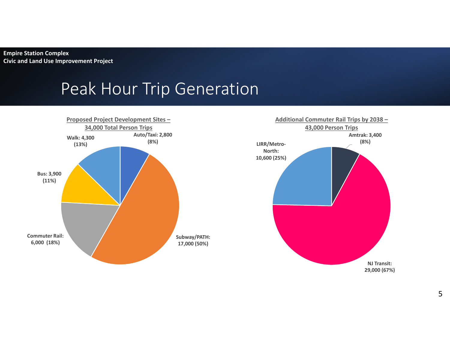#### Peak Hour Trip Generation



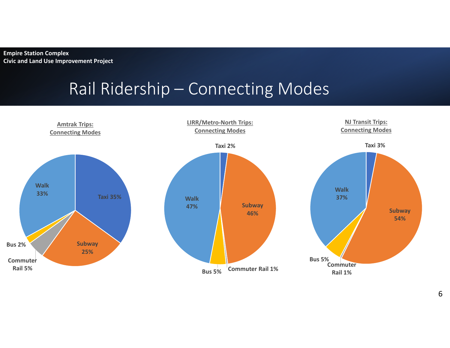### Rail Ridership – Connecting Modes

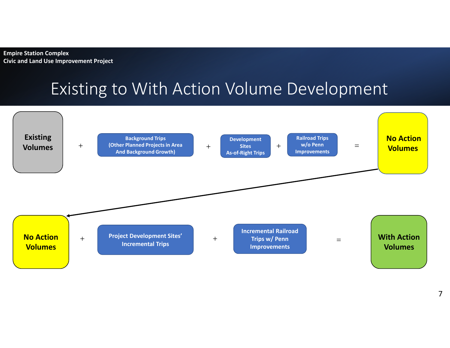## Existing to With Action Volume Development

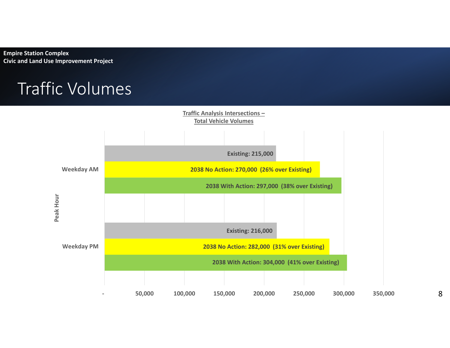### Traffic Volumes

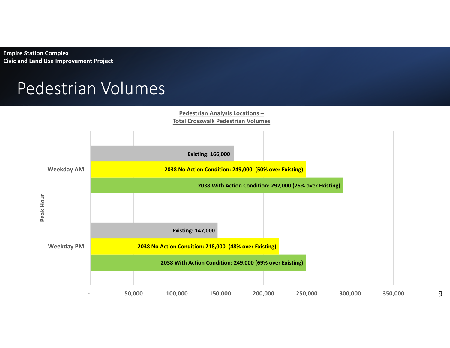#### Pedestrian Volumes



9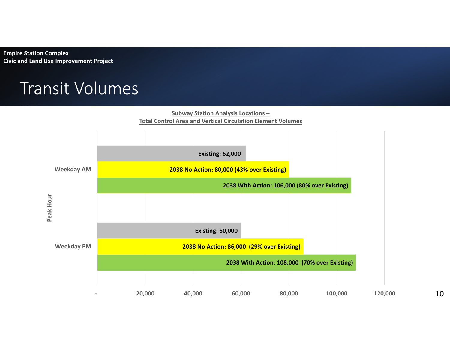#### Transit Volumes



10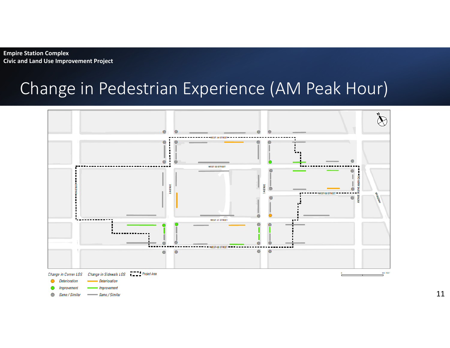### Change in Pedestrian Experience (AM Peak Hour)

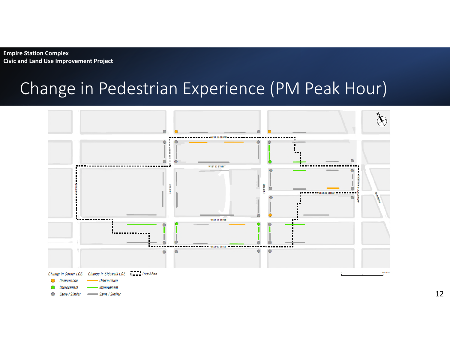### Change in Pedestrian Experience (PM Peak Hour)

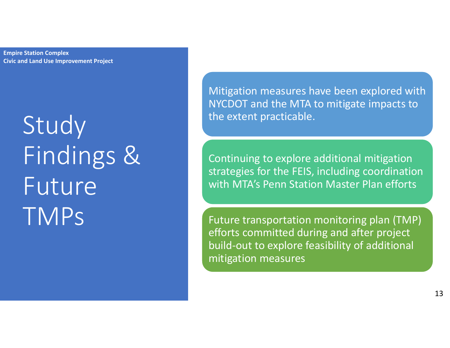# **Study** Findings & Future TMPs

Mitigation measures have been explored with NYCDOT and the MTA to mitigate impacts to the extent practicable.

Continuing to explore additional mitigation strategies for the FEIS, including coordination with MTA's Penn Station Master Plan efforts

Future transportation monitoring plan (TMP) efforts committed during and after project build-out to explore feasibility of additional mitigation measures